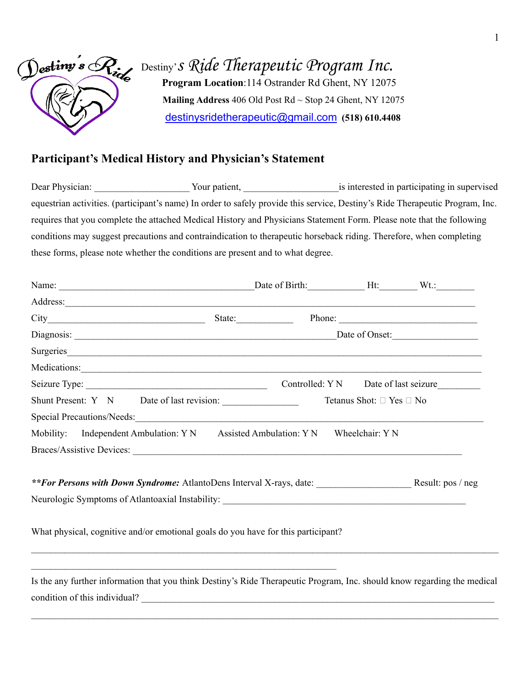

Destiny's Ride Therapeutic Program Inc.  **Program Location**:114 Ostrander Rd Ghent, NY 12075  **Mailing Address** 406 Old Post Rd ~ Stop 24 Ghent, NY 12075 [destinysridetherapeutic@gmail.com](mailto:destinysridetherapeutic@gmail.com) **(518) 610.4408**

## **Participant's Medical History and Physician's Statement**

Dear Physician: Your patient, The Search of the Search of the Search of the Search of the Search of the Search of the Search of the Search of the Search of the Search of the Search of the Search of the Search of the Search equestrian activities. (participant's name) In order to safely provide this service, Destiny's Ride Therapeutic Program, Inc. requires that you complete the attached Medical History and Physicians Statement Form. Please note that the following conditions may suggest precautions and contraindication to therapeutic horseback riding. Therefore, when completing these forms, please note whether the conditions are present and to what degree.

| Address:                                                                                                                                                                                                                       |                |  |                          |                                      |  |
|--------------------------------------------------------------------------------------------------------------------------------------------------------------------------------------------------------------------------------|----------------|--|--------------------------|--------------------------------------|--|
|                                                                                                                                                                                                                                |                |  |                          | Phone:                               |  |
|                                                                                                                                                                                                                                | Date of Onset: |  |                          |                                      |  |
| Surgeries and the contract of the contract of the contract of the contract of the contract of the contract of the contract of the contract of the contract of the contract of the contract of the contract of the contract of  |                |  |                          |                                      |  |
| Medications: Network of the contract of the contract of the contract of the contract of the contract of the contract of the contract of the contract of the contract of the contract of the contract of the contract of the co |                |  |                          |                                      |  |
|                                                                                                                                                                                                                                |                |  |                          | Controlled: Y N Date of last seizure |  |
| Shunt Present: Y N Date of last revision:                                                                                                                                                                                      |                |  | Tetanus Shot: □ Yes □ No |                                      |  |
|                                                                                                                                                                                                                                |                |  |                          |                                      |  |
| Mobility: Independent Ambulation: Y N Assisted Ambulation: Y N                                                                                                                                                                 |                |  | Wheelchair: Y N          |                                      |  |
|                                                                                                                                                                                                                                |                |  |                          |                                      |  |
| **For Persons with Down Syndrome: AtlantoDens Interval X-rays, date:                                                                                                                                                           |                |  |                          | Result: pos / neg                    |  |
| What physical, cognitive and/or emotional goals do you have for this participant?                                                                                                                                              |                |  |                          |                                      |  |
| Is the any further information that you think Destiny's Ride Therapeutic Program, Inc. should know regarding the medical<br>condition of this individual?                                                                      |                |  |                          |                                      |  |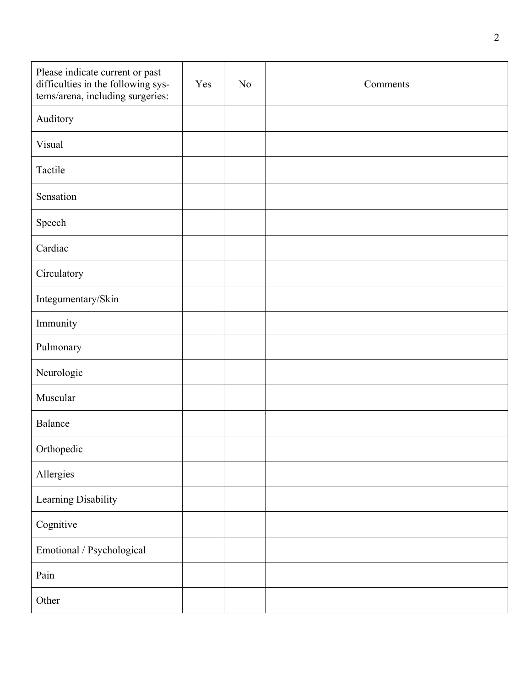| Please indicate current or past<br>difficulties in the following sys-<br>tems/arena, including surgeries: | Yes | N <sub>o</sub> | Comments |
|-----------------------------------------------------------------------------------------------------------|-----|----------------|----------|
| Auditory                                                                                                  |     |                |          |
| Visual                                                                                                    |     |                |          |
| Tactile                                                                                                   |     |                |          |
| Sensation                                                                                                 |     |                |          |
| Speech                                                                                                    |     |                |          |
| Cardiac                                                                                                   |     |                |          |
| Circulatory                                                                                               |     |                |          |
| Integumentary/Skin                                                                                        |     |                |          |
| Immunity                                                                                                  |     |                |          |
| Pulmonary                                                                                                 |     |                |          |
| Neurologic                                                                                                |     |                |          |
| Muscular                                                                                                  |     |                |          |
| Balance                                                                                                   |     |                |          |
| Orthopedic                                                                                                |     |                |          |
| Allergies                                                                                                 |     |                |          |
| Learning Disability                                                                                       |     |                |          |
| Cognitive                                                                                                 |     |                |          |
| Emotional / Psychological                                                                                 |     |                |          |
| Pain                                                                                                      |     |                |          |
| Other                                                                                                     |     |                |          |